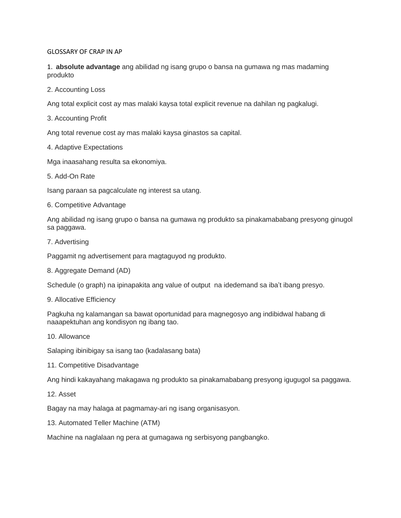## GLOSSARY OF CRAP IN AP

1. **absolute advantage** ang abilidad ng isang grupo o bansa na gumawa ng mas madaming produkto

2. Accounting Loss

Ang total explicit cost ay mas malaki kaysa total explicit revenue na dahilan ng pagkalugi.

3. Accounting Profit

Ang total revenue cost ay mas malaki kaysa ginastos sa capital.

4. Adaptive Expectations

Mga inaasahang resulta sa ekonomiya.

5. Add-On Rate

Isang paraan sa pagcalculate ng interest sa utang.

6. Competitive Advantage

Ang abilidad ng isang grupo o bansa na gumawa ng produkto sa pinakamababang presyong ginugol sa paggawa.

7. Advertising

Paggamit ng advertisement para magtaguyod ng produkto.

8. Aggregate Demand (AD)

Schedule (o graph) na ipinapakita ang value of output na idedemand sa iba't ibang presyo.

9. Allocative Efficiency

Pagkuha ng kalamangan sa bawat oportunidad para magnegosyo ang indibidwal habang di naaapektuhan ang kondisyon ng ibang tao.

10. Allowance

Salaping ibinibigay sa isang tao (kadalasang bata)

11. Competitive Disadvantage

Ang hindi kakayahang makagawa ng produkto sa pinakamababang presyong igugugol sa paggawa.

12. Asset

Bagay na may halaga at pagmamay-ari ng isang organisasyon.

13. Automated Teller Machine (ATM)

Machine na naglalaan ng pera at gumagawa ng serbisyong pangbangko.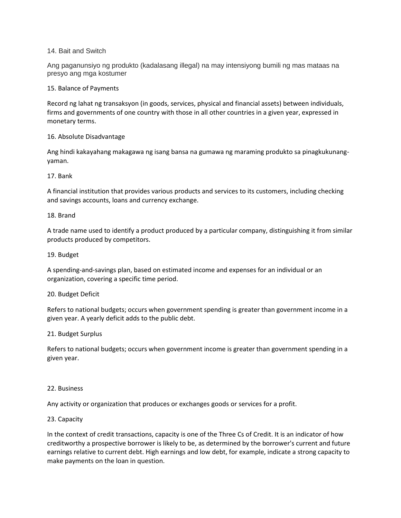## 14. Bait and Switch

Ang paganunsiyo ng produkto (kadalasang illegal) na may intensiyong bumili ng mas mataas na presyo ang mga kostumer

### 15. Balance of Payments

Record ng lahat ng transaksyon (in goods, services, physical and financial assets) between individuals, firms and governments of one country with those in all other countries in a given year, expressed in monetary terms.

## 16. Absolute Disadvantage

Ang hindi kakayahang makagawa ng isang bansa na gumawa ng maraming produkto sa pinagkukunangyaman.

### 17. Bank

A financial institution that provides various products and services to its customers, including checking and savings accounts, loans and currency exchange.

### 18. Brand

A trade name used to identify a product produced by a particular company, distinguishing it from similar products produced by competitors.

### 19. Budget

A spending-and-savings plan, based on estimated income and expenses for an individual or an organization, covering a specific time period.

## 20. Budget Deficit

Refers to national budgets; occurs when government spending is greater than government income in a given year. A yearly deficit adds to the public debt.

### 21. Budget Surplus

Refers to national budgets; occurs when government income is greater than government spending in a given year.

### 22. Business

Any activity or organization that produces or exchanges goods or services for a profit.

## 23. Capacity

In the context of credit transactions, capacity is one of the Three Cs of Credit. It is an indicator of how creditworthy a prospective borrower is likely to be, as determined by the borrower's current and future earnings relative to current debt. High earnings and low debt, for example, indicate a strong capacity to make payments on the loan in question.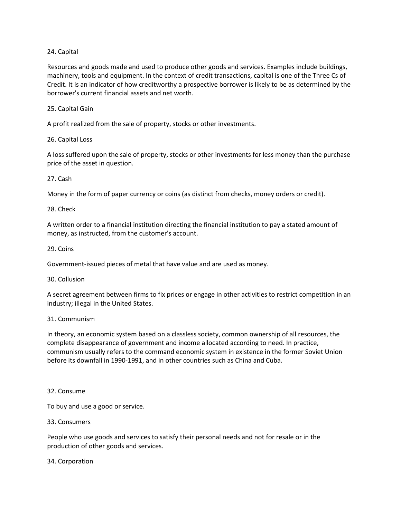# 24. Capital

Resources and goods made and used to produce other goods and services. Examples include buildings, machinery, tools and equipment. In the context of credit transactions, capital is one of the Three Cs of Credit. It is an indicator of how creditworthy a prospective borrower is likely to be as determined by the borrower's current financial assets and net worth.

# 25. Capital Gain

A profit realized from the sale of property, stocks or other investments.

## 26. Capital Loss

A loss suffered upon the sale of property, stocks or other investments for less money than the purchase price of the asset in question.

## 27. Cash

Money in the form of paper currency or coins (as distinct from checks, money orders or credit).

## 28. Check

A written order to a financial institution directing the financial institution to pay a stated amount of money, as instructed, from the customer's account.

## 29. Coins

Government-issued pieces of metal that have value and are used as money.

## 30. Collusion

A secret agreement between firms to fix prices or engage in other activities to restrict competition in an industry; illegal in the United States.

## 31. Communism

In theory, an economic system based on a classless society, common ownership of all resources, the complete disappearance of government and income allocated according to need. In practice, communism usually refers to the command economic system in existence in the former Soviet Union before its downfall in 1990-1991, and in other countries such as China and Cuba.

### 32. Consume

To buy and use a good or service.

## 33. Consumers

People who use goods and services to satisfy their personal needs and not for resale or in the production of other goods and services.

### 34. Corporation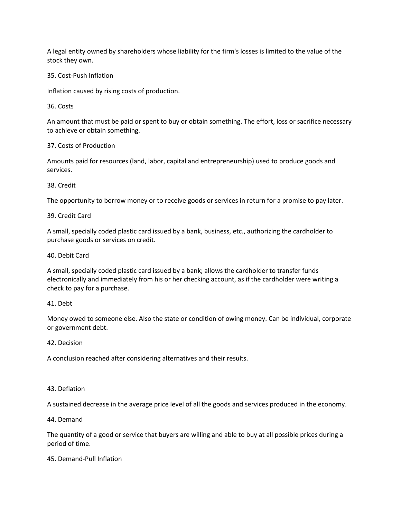A legal entity owned by shareholders whose liability for the firm's losses is limited to the value of the stock they own.

# 35. Cost-Push Inflation

Inflation caused by rising costs of production.

36. Costs

An amount that must be paid or spent to buy or obtain something. The effort, loss or sacrifice necessary to achieve or obtain something.

# 37. Costs of Production

Amounts paid for resources (land, labor, capital and entrepreneurship) used to produce goods and services.

# 38. Credit

The opportunity to borrow money or to receive goods or services in return for a promise to pay later.

# 39. Credit Card

A small, specially coded plastic card issued by a bank, business, etc., authorizing the cardholder to purchase goods or services on credit.

# 40. Debit Card

A small, specially coded plastic card issued by a bank; allows the cardholder to transfer funds electronically and immediately from his or her checking account, as if the cardholder were writing a check to pay for a purchase.

## 41. Debt

Money owed to someone else. Also the state or condition of owing money. Can be individual, corporate or government debt.

## 42. Decision

A conclusion reached after considering alternatives and their results.

# 43. Deflation

A sustained decrease in the average price level of all the goods and services produced in the economy.

## 44. Demand

The quantity of a good or service that buyers are willing and able to buy at all possible prices during a period of time.

## 45. Demand-Pull Inflation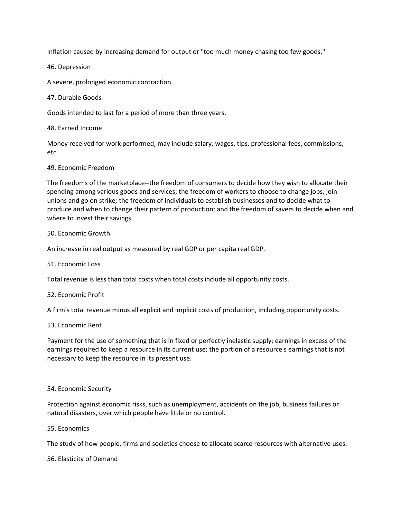Inflation caused by increasing demand for output or "too much money chasing too few goods."

46. Depression

A severe, prolonged economic contraction.

47. Durable Goods

Goods intended to last for a period of more than three years.

48. Earned Income

Money received for work performed; may include salary, wages, tips, professional fees, commissions, etc.

### 49. Economic Freedom

The freedoms of the marketplace--the freedom of consumers to decide how they wish to allocate their spending among various goods and services; the freedom of workers to choose to change jobs, join unions and go on strike; the freedom of individuals to establish businesses and to decide what to produce and when to change their pattern of production; and the freedom of savers to decide when and where to invest their savings.

### 50. Economic Growth

An increase in real output as measured by real GDP or per capita real GDP.

### 51. Economic Loss

Total revenue is less than total costs when total costs include all opportunity costs.

### 52. Economic Profit

A firm's total revenue minus all explicit and implicit costs of production, including opportunity costs.

### 53. Economic Rent

Payment for the use of something that is in fixed or perfectly inelastic supply; earnings in excess of the earnings required to keep a resource in its current use; the portion of a resource's earnings that is not necessary to keep the resource in its present use.

### 54. Economic Security

Protection against economic risks, such as unemployment, accidents on the job, business failures or natural disasters, over which people have little or no control.

### 55. Economics

The study of how people, firms and societies choose to allocate scarce resources with alternative uses.

56. Elasticity of Demand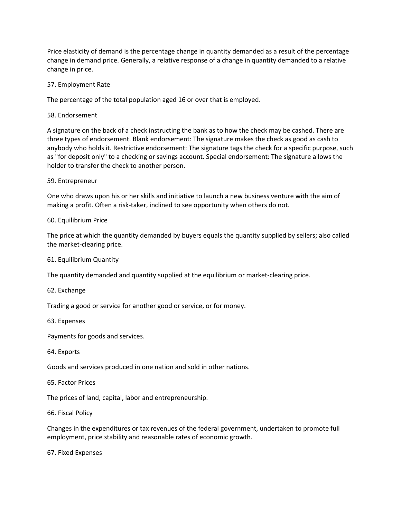Price elasticity of demand is the percentage change in quantity demanded as a result of the percentage change in demand price. Generally, a relative response of a change in quantity demanded to a relative change in price.

## 57. Employment Rate

The percentage of the total population aged 16 or over that is employed.

58. Endorsement

A signature on the back of a check instructing the bank as to how the check may be cashed. There are three types of endorsement. Blank endorsement: The signature makes the check as good as cash to anybody who holds it. Restrictive endorsement: The signature tags the check for a specific purpose, such as "for deposit only" to a checking or savings account. Special endorsement: The signature allows the holder to transfer the check to another person.

### 59. Entrepreneur

One who draws upon his or her skills and initiative to launch a new business venture with the aim of making a profit. Often a risk-taker, inclined to see opportunity when others do not.

### 60. Equilibrium Price

The price at which the quantity demanded by buyers equals the quantity supplied by sellers; also called the market-clearing price.

61. Equilibrium Quantity

The quantity demanded and quantity supplied at the equilibrium or market-clearing price.

62. Exchange

Trading a good or service for another good or service, or for money.

63. Expenses

Payments for goods and services.

64. Exports

Goods and services produced in one nation and sold in other nations.

65. Factor Prices

The prices of land, capital, labor and entrepreneurship.

66. Fiscal Policy

Changes in the expenditures or tax revenues of the federal government, undertaken to promote full employment, price stability and reasonable rates of economic growth.

67. Fixed Expenses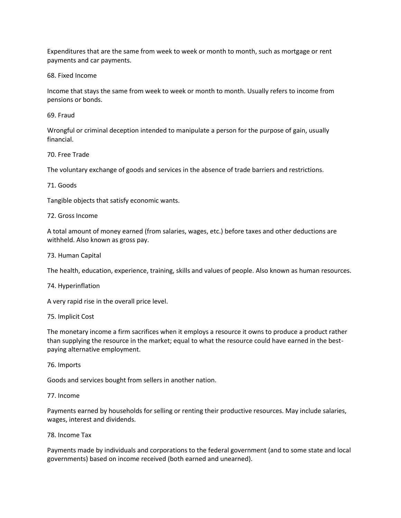Expenditures that are the same from week to week or month to month, such as mortgage or rent payments and car payments.

68. Fixed Income

Income that stays the same from week to week or month to month. Usually refers to income from pensions or bonds.

69. Fraud

Wrongful or criminal deception intended to manipulate a person for the purpose of gain, usually financial.

### 70. Free Trade

The voluntary exchange of goods and services in the absence of trade barriers and restrictions.

### 71. Goods

Tangible objects that satisfy economic wants.

### 72. Gross Income

A total amount of money earned (from salaries, wages, etc.) before taxes and other deductions are withheld. Also known as gross pay.

73. Human Capital

The health, education, experience, training, skills and values of people. Also known as human resources.

### 74. Hyperinflation

A very rapid rise in the overall price level.

### 75. Implicit Cost

The monetary income a firm sacrifices when it employs a resource it owns to produce a product rather than supplying the resource in the market; equal to what the resource could have earned in the bestpaying alternative employment.

### 76. Imports

Goods and services bought from sellers in another nation.

### 77. Income

Payments earned by households for selling or renting their productive resources. May include salaries, wages, interest and dividends.

### 78. Income Tax

Payments made by individuals and corporations to the federal government (and to some state and local governments) based on income received (both earned and unearned).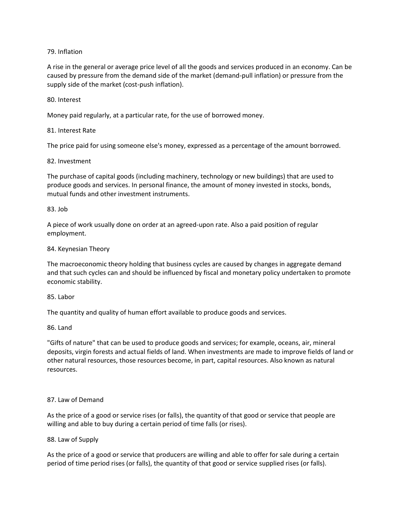# 79. Inflation

A rise in the general or average price level of all the goods and services produced in an economy. Can be caused by pressure from the demand side of the market (demand-pull inflation) or pressure from the supply side of the market (cost-push inflation).

## 80. Interest

Money paid regularly, at a particular rate, for the use of borrowed money.

## 81. Interest Rate

The price paid for using someone else's money, expressed as a percentage of the amount borrowed.

## 82. Investment

The purchase of capital goods (including machinery, technology or new buildings) that are used to produce goods and services. In personal finance, the amount of money invested in stocks, bonds, mutual funds and other investment instruments.

### 83. Job

A piece of work usually done on order at an agreed-upon rate. Also a paid position of regular employment.

### 84. Keynesian Theory

The macroeconomic theory holding that business cycles are caused by changes in aggregate demand and that such cycles can and should be influenced by fiscal and monetary policy undertaken to promote economic stability.

### 85. Labor

The quantity and quality of human effort available to produce goods and services.

### 86. Land

"Gifts of nature" that can be used to produce goods and services; for example, oceans, air, mineral deposits, virgin forests and actual fields of land. When investments are made to improve fields of land or other natural resources, those resources become, in part, capital resources. Also known as natural resources.

## 87. Law of Demand

As the price of a good or service rises (or falls), the quantity of that good or service that people are willing and able to buy during a certain period of time falls (or rises).

## 88. Law of Supply

As the price of a good or service that producers are willing and able to offer for sale during a certain period of time period rises (or falls), the quantity of that good or service supplied rises (or falls).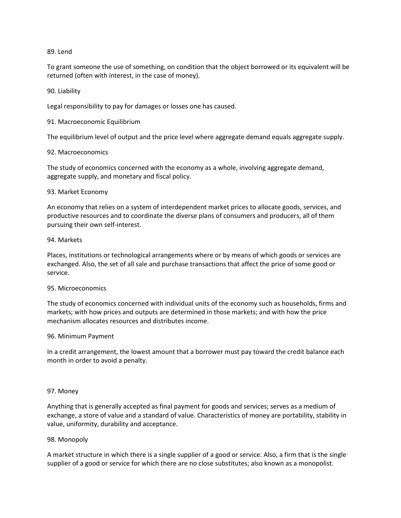### 89. Lend

To grant someone the use of something, on condition that the object borrowed or its equivalent will be returned (often with interest, in the case of money).

## 90. Liability

Legal responsibility to pay for damages or losses one has caused.

## 91. Macroeconomic Equilibrium

The equilibrium level of output and the price level where aggregate demand equals aggregate supply.

## 92. Macroeconomics

The study of economics concerned with the economy as a whole, involving aggregate demand, aggregate supply, and monetary and fiscal policy.

## 93. Market Economy

An economy that relies on a system of interdependent market prices to allocate goods, services, and productive resources and to coordinate the diverse plans of consumers and producers, all of them pursuing their own self-interest.

### 94. Markets

Places, institutions or technological arrangements where or by means of which goods or services are exchanged. Also, the set of all sale and purchase transactions that affect the price of some good or service.

## 95. Microeconomics

The study of economics concerned with individual units of the economy such as households, firms and markets; with how prices and outputs are determined in those markets; and with how the price mechanism allocates resources and distributes income.

## 96. Minimum Payment

In a credit arrangement, the lowest amount that a borrower must pay toward the credit balance each month in order to avoid a penalty.

### 97. Money

Anything that is generally accepted as final payment for goods and services; serves as a medium of exchange, a store of value and a standard of value. Characteristics of money are portability, stability in value, uniformity, durability and acceptance.

## 98. Monopoly

A market structure in which there is a single supplier of a good or service. Also, a firm that is the single supplier of a good or service for which there are no close substitutes; also known as a monopolist.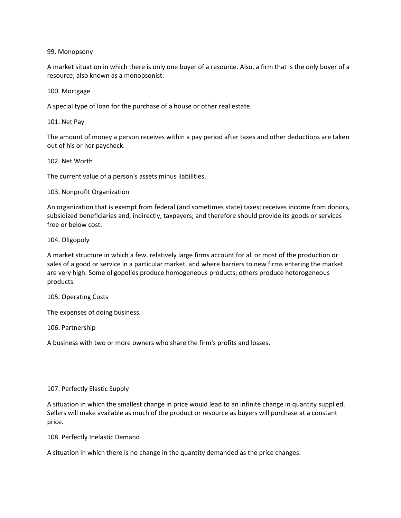## 99. Monopsony

A market situation in which there is only one buyer of a resource. Also, a firm that is the only buyer of a resource; also known as a monopsonist.

### 100. Mortgage

A special type of loan for the purchase of a house or other real estate.

101. Net Pay

The amount of money a person receives within a pay period after taxes and other deductions are taken out of his or her paycheck.

### 102. Net Worth

The current value of a person's assets minus liabilities.

### 103. Nonprofit Organization

An organization that is exempt from federal (and sometimes state) taxes; receives income from donors, subsidized beneficiaries and, indirectly, taxpayers; and therefore should provide its goods or services free or below cost.

104. Oligopoly

A market structure in which a few, relatively large firms account for all or most of the production or sales of a good or service in a particular market, and where barriers to new firms entering the market are very high. Some oligopolies produce homogeneous products; others produce heterogeneous products.

### 105. Operating Costs

The expenses of doing business.

106. Partnership

A business with two or more owners who share the firm's profits and losses.

## 107. Perfectly Elastic Supply

A situation in which the smallest change in price would lead to an infinite change in quantity supplied. Sellers will make available as much of the product or resource as buyers will purchase at a constant price.

108. Perfectly Inelastic Demand

A situation in which there is no change in the quantity demanded as the price changes.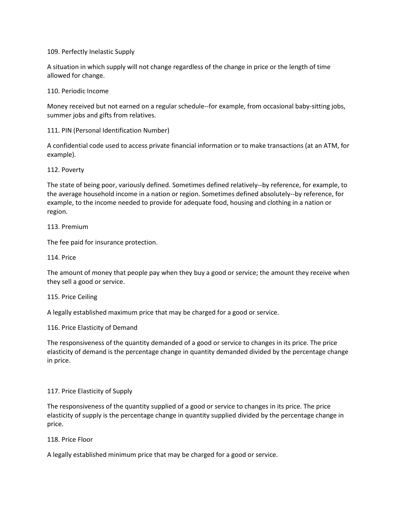109. Perfectly Inelastic Supply

A situation in which supply will not change regardless of the change in price or the length of time allowed for change.

110. Periodic Income

Money received but not earned on a regular schedule--for example, from occasional baby-sitting jobs, summer jobs and gifts from relatives.

111. PIN (Personal Identification Number)

A confidential code used to access private financial information or to make transactions (at an ATM, for example).

112. Poverty

The state of being poor, variously defined. Sometimes defined relatively--by reference, for example, to the average household income in a nation or region. Sometimes defined absolutely--by reference, for example, to the income needed to provide for adequate food, housing and clothing in a nation or region.

113. Premium

The fee paid for insurance protection.

114. Price

The amount of money that people pay when they buy a good or service; the amount they receive when they sell a good or service.

115. Price Ceiling

A legally established maximum price that may be charged for a good or service.

116. Price Elasticity of Demand

The responsiveness of the quantity demanded of a good or service to changes in its price. The price elasticity of demand is the percentage change in quantity demanded divided by the percentage change in price.

### 117. Price Elasticity of Supply

The responsiveness of the quantity supplied of a good or service to changes in its price. The price elasticity of supply is the percentage change in quantity supplied divided by the percentage change in price.

118. Price Floor

A legally established minimum price that may be charged for a good or service.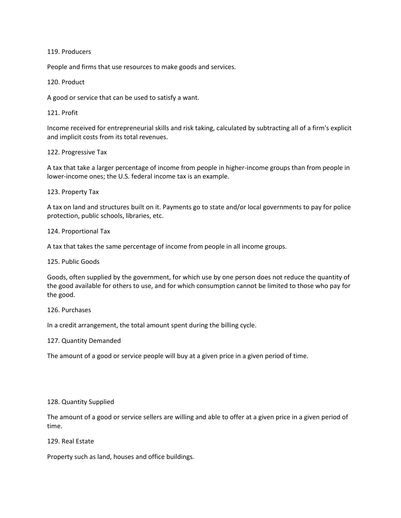119. Producers

People and firms that use resources to make goods and services.

120. Product

A good or service that can be used to satisfy a want.

121. Profit

Income received for entrepreneurial skills and risk taking, calculated by subtracting all of a firm's explicit and implicit costs from its total revenues.

122. Progressive Tax

A tax that take a larger percentage of income from people in higher-income groups than from people in lower-income ones; the U.S. federal income tax is an example.

123. Property Tax

A tax on land and structures built on it. Payments go to state and/or local governments to pay for police protection, public schools, libraries, etc.

124. Proportional Tax

A tax that takes the same percentage of income from people in all income groups.

125. Public Goods

Goods, often supplied by the government, for which use by one person does not reduce the quantity of the good available for others to use, and for which consumption cannot be limited to those who pay for the good.

126. Purchases

In a credit arrangement, the total amount spent during the billing cycle.

127. Quantity Demanded

The amount of a good or service people will buy at a given price in a given period of time.

### 128. Quantity Supplied

The amount of a good or service sellers are willing and able to offer at a given price in a given period of time.

129. Real Estate

Property such as land, houses and office buildings.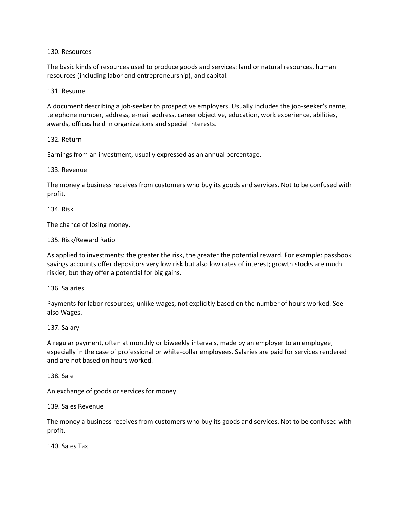### 130. Resources

The basic kinds of resources used to produce goods and services: land or natural resources, human resources (including labor and entrepreneurship), and capital.

### 131. Resume

A document describing a job-seeker to prospective employers. Usually includes the job-seeker's name, telephone number, address, e-mail address, career objective, education, work experience, abilities, awards, offices held in organizations and special interests.

### 132. Return

Earnings from an investment, usually expressed as an annual percentage.

### 133. Revenue

The money a business receives from customers who buy its goods and services. Not to be confused with profit.

### 134. Risk

The chance of losing money.

### 135. Risk/Reward Ratio

As applied to investments: the greater the risk, the greater the potential reward. For example: passbook savings accounts offer depositors very low risk but also low rates of interest; growth stocks are much riskier, but they offer a potential for big gains.

### 136. Salaries

Payments for labor resources; unlike wages, not explicitly based on the number of hours worked. See also Wages.

### 137. Salary

A regular payment, often at monthly or biweekly intervals, made by an employer to an employee, especially in the case of professional or white-collar employees. Salaries are paid for services rendered and are not based on hours worked.

### 138. Sale

An exchange of goods or services for money.

### 139. Sales Revenue

The money a business receives from customers who buy its goods and services. Not to be confused with profit.

140. Sales Tax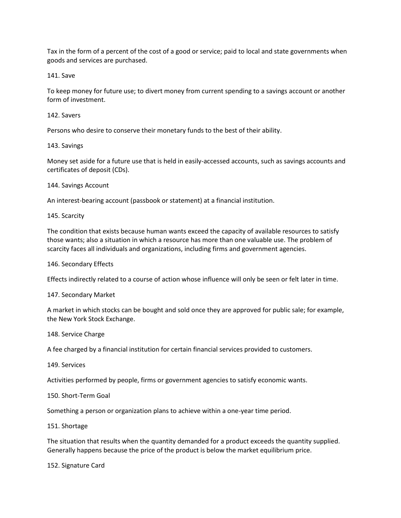Tax in the form of a percent of the cost of a good or service; paid to local and state governments when goods and services are purchased.

141. Save

To keep money for future use; to divert money from current spending to a savings account or another form of investment.

## 142. Savers

Persons who desire to conserve their monetary funds to the best of their ability.

### 143. Savings

Money set aside for a future use that is held in easily-accessed accounts, such as savings accounts and certificates of deposit (CDs).

### 144. Savings Account

An interest-bearing account (passbook or statement) at a financial institution.

### 145. Scarcity

The condition that exists because human wants exceed the capacity of available resources to satisfy those wants; also a situation in which a resource has more than one valuable use. The problem of scarcity faces all individuals and organizations, including firms and government agencies.

### 146. Secondary Effects

Effects indirectly related to a course of action whose influence will only be seen or felt later in time.

## 147. Secondary Market

A market in which stocks can be bought and sold once they are approved for public sale; for example, the New York Stock Exchange.

### 148. Service Charge

A fee charged by a financial institution for certain financial services provided to customers.

### 149. Services

Activities performed by people, firms or government agencies to satisfy economic wants.

### 150. Short-Term Goal

Something a person or organization plans to achieve within a one-year time period.

### 151. Shortage

The situation that results when the quantity demanded for a product exceeds the quantity supplied. Generally happens because the price of the product is below the market equilibrium price.

### 152. Signature Card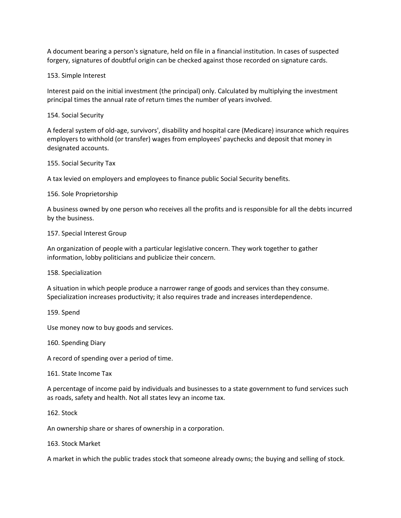A document bearing a person's signature, held on file in a financial institution. In cases of suspected forgery, signatures of doubtful origin can be checked against those recorded on signature cards.

## 153. Simple Interest

Interest paid on the initial investment (the principal) only. Calculated by multiplying the investment principal times the annual rate of return times the number of years involved.

### 154. Social Security

A federal system of old-age, survivors', disability and hospital care (Medicare) insurance which requires employers to withhold (or transfer) wages from employees' paychecks and deposit that money in designated accounts.

### 155. Social Security Tax

A tax levied on employers and employees to finance public Social Security benefits.

### 156. Sole Proprietorship

A business owned by one person who receives all the profits and is responsible for all the debts incurred by the business.

### 157. Special Interest Group

An organization of people with a particular legislative concern. They work together to gather information, lobby politicians and publicize their concern.

### 158. Specialization

A situation in which people produce a narrower range of goods and services than they consume. Specialization increases productivity; it also requires trade and increases interdependence.

### 159. Spend

Use money now to buy goods and services.

### 160. Spending Diary

A record of spending over a period of time.

### 161. State Income Tax

A percentage of income paid by individuals and businesses to a state government to fund services such as roads, safety and health. Not all states levy an income tax.

### 162. Stock

An ownership share or shares of ownership in a corporation.

### 163. Stock Market

A market in which the public trades stock that someone already owns; the buying and selling of stock.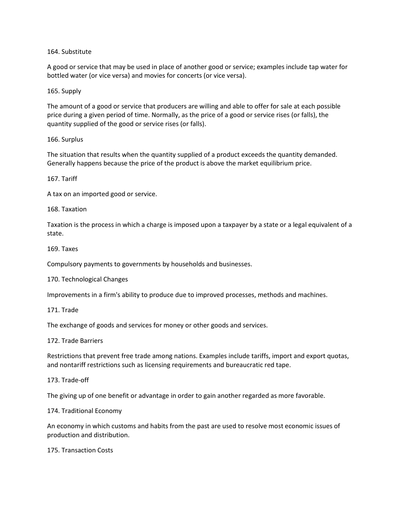164. Substitute

A good or service that may be used in place of another good or service; examples include tap water for bottled water (or vice versa) and movies for concerts (or vice versa).

165. Supply

The amount of a good or service that producers are willing and able to offer for sale at each possible price during a given period of time. Normally, as the price of a good or service rises (or falls), the quantity supplied of the good or service rises (or falls).

166. Surplus

The situation that results when the quantity supplied of a product exceeds the quantity demanded. Generally happens because the price of the product is above the market equilibrium price.

167. Tariff

A tax on an imported good or service.

168. Taxation

Taxation is the process in which a charge is imposed upon a taxpayer by a state or a legal equivalent of a state.

169. Taxes

Compulsory payments to governments by households and businesses.

170. Technological Changes

Improvements in a firm's ability to produce due to improved processes, methods and machines.

171. Trade

The exchange of goods and services for money or other goods and services.

172. Trade Barriers

Restrictions that prevent free trade among nations. Examples include tariffs, import and export quotas, and nontariff restrictions such as licensing requirements and bureaucratic red tape.

173. Trade-off

The giving up of one benefit or advantage in order to gain another regarded as more favorable.

174. Traditional Economy

An economy in which customs and habits from the past are used to resolve most economic issues of production and distribution.

175. Transaction Costs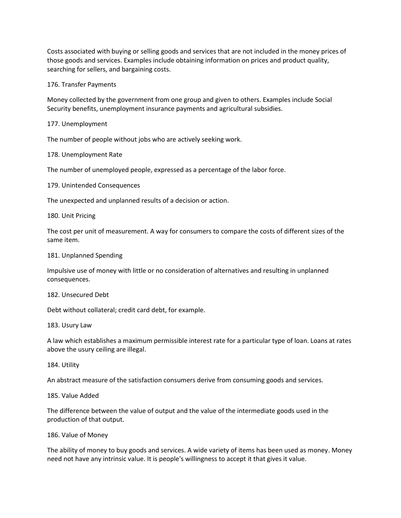Costs associated with buying or selling goods and services that are not included in the money prices of those goods and services. Examples include obtaining information on prices and product quality, searching for sellers, and bargaining costs.

### 176. Transfer Payments

Money collected by the government from one group and given to others. Examples include Social Security benefits, unemployment insurance payments and agricultural subsidies.

177. Unemployment

The number of people without jobs who are actively seeking work.

178. Unemployment Rate

The number of unemployed people, expressed as a percentage of the labor force.

179. Unintended Consequences

The unexpected and unplanned results of a decision or action.

180. Unit Pricing

The cost per unit of measurement. A way for consumers to compare the costs of different sizes of the same item.

### 181. Unplanned Spending

Impulsive use of money with little or no consideration of alternatives and resulting in unplanned consequences.

### 182. Unsecured Debt

Debt without collateral; credit card debt, for example.

183. Usury Law

A law which establishes a maximum permissible interest rate for a particular type of loan. Loans at rates above the usury ceiling are illegal.

184. Utility

An abstract measure of the satisfaction consumers derive from consuming goods and services.

### 185. Value Added

The difference between the value of output and the value of the intermediate goods used in the production of that output.

### 186. Value of Money

The ability of money to buy goods and services. A wide variety of items has been used as money. Money need not have any intrinsic value. It is people's willingness to accept it that gives it value.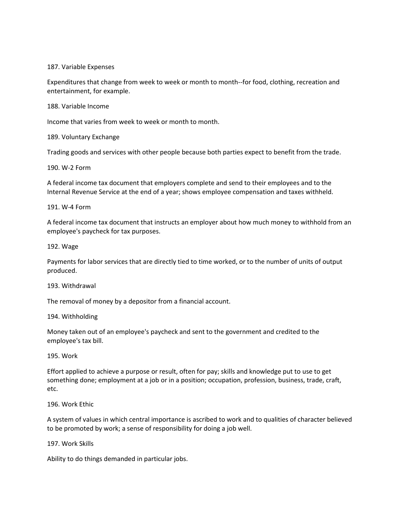### 187. Variable Expenses

Expenditures that change from week to week or month to month--for food, clothing, recreation and entertainment, for example.

188. Variable Income

Income that varies from week to week or month to month.

189. Voluntary Exchange

Trading goods and services with other people because both parties expect to benefit from the trade.

190. W-2 Form

A federal income tax document that employers complete and send to their employees and to the Internal Revenue Service at the end of a year; shows employee compensation and taxes withheld.

### 191. W-4 Form

A federal income tax document that instructs an employer about how much money to withhold from an employee's paycheck for tax purposes.

### 192. Wage

Payments for labor services that are directly tied to time worked, or to the number of units of output produced.

### 193. Withdrawal

The removal of money by a depositor from a financial account.

194. Withholding

Money taken out of an employee's paycheck and sent to the government and credited to the employee's tax bill.

### 195. Work

Effort applied to achieve a purpose or result, often for pay; skills and knowledge put to use to get something done; employment at a job or in a position; occupation, profession, business, trade, craft, etc.

## 196. Work Ethic

A system of values in which central importance is ascribed to work and to qualities of character believed to be promoted by work; a sense of responsibility for doing a job well.

### 197. Work Skills

Ability to do things demanded in particular jobs.